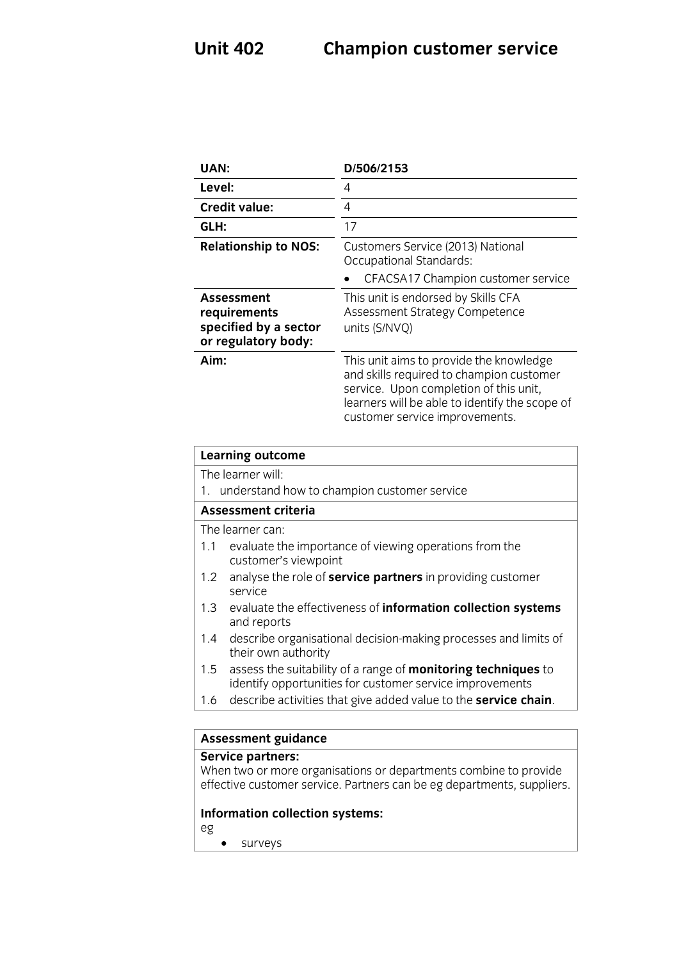| <b>UAN:</b>                                                                           | D/506/2153                                                                                                                                                                                                        |
|---------------------------------------------------------------------------------------|-------------------------------------------------------------------------------------------------------------------------------------------------------------------------------------------------------------------|
| Level:                                                                                | 4                                                                                                                                                                                                                 |
| <b>Credit value:</b>                                                                  | 4                                                                                                                                                                                                                 |
| GLH:                                                                                  | 17                                                                                                                                                                                                                |
| <b>Relationship to NOS:</b>                                                           | Customers Service (2013) National<br><b>Occupational Standards:</b><br>CFACSA17 Champion customer service                                                                                                         |
| <b>Assessment</b><br>requirements<br>specified by a sector<br>or regulatory body:     | This unit is endorsed by Skills CFA<br>Assessment Strategy Competence<br>units (S/NVQ)                                                                                                                            |
| Aim:                                                                                  | This unit aims to provide the knowledge<br>and skills required to champion customer<br>service. Upon completion of this unit,<br>learners will be able to identify the scope of<br>customer service improvements. |
| <b>Learning outcome</b>                                                               |                                                                                                                                                                                                                   |
| The learner will:<br>1. understand how to champion customer service                   |                                                                                                                                                                                                                   |
| <b>Assessment criteria</b>                                                            |                                                                                                                                                                                                                   |
| The learner can:                                                                      |                                                                                                                                                                                                                   |
| 1.1<br>evaluate the importance of viewing operations from the<br>customer's viewpoint |                                                                                                                                                                                                                   |
| analyse the role of service partners in providing customer<br>1.2<br>service          |                                                                                                                                                                                                                   |
| evaluate the effectiveness of information collection systems<br>1.3<br>and reports    |                                                                                                                                                                                                                   |

- 1.4 describe organisational decision-making processes and limits of their own authority
- 1.5 assess the suitability of a range of **monitoring techniques** to identify opportunities for customer service improvements
- $\frac{1}{2}$  operation of customer services in proven the consideration of 1.6 describe activities that give added value to the **service chain**.

# **Assessment guidance**

When two or more organisations or departments combine to provide when the complete organisations of departments combine to provide<br>effective customer service Partners can be eddenartments sunnliers effective customer service. Partners can be eg departments, suppliers.

### **Information collection systems:**

- eg
	- surveys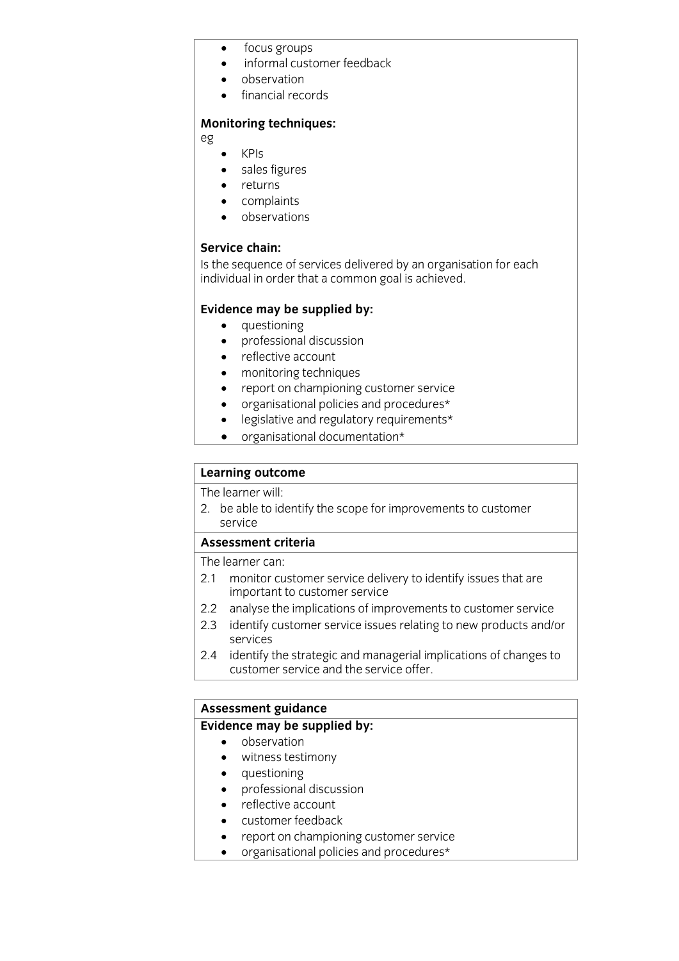- focus groups
- informal customer feedback
- observation
- financial records

### **Monitoring techniques:**

eg

- $\bullet$  KPIs
- sales figures
- returns
- complaints
- observations

### Service chain:

Is the sequence of services delivered by an organisation for each Is the sequence of services demonstrated by an organisation for each individual in order that a common goal is achieved individual in order that a common goal is achieved.

- 
- **Evidence may** be supplied by:<br> **•** questioning<br> **•** professional discussion • professional discussion
	- reflective account
	- monitoring techniques
	- report on championing customer service
	- organisational policies and procedures\*
	- legislative and regulatory requirements\*<br>• organisational documentation\*
	- organisational documentation\*

## **Learning outcome**<br>The learner will:

2. be able to identify the scope for improvements to customer 2. be able to identify the scope for improvements to customer service<br>Assessment criteria

The learner can:

- 2.1 monitor customer service delivery to identify issues that are important to customer service
- 2.2 analyse the implications of improvements to customer service
- 2.3 identify customer service issues relating to new products and/or 2.3 identify customer service issues relating to new products and/or services<br>2.4 identify the strategic and managerial implications of changes to
- customer service and the service offer. customer service and the service offer.

## **Assessment guidance**

- **Evidence** may be supplied by:
	- witness testimony
	- questioning<br>• professional
	- professional discussion
	- reflective account<br>• customer feedbac
	- customer feedback
	- report on championing customer service
	- organisational policies and procedures\*